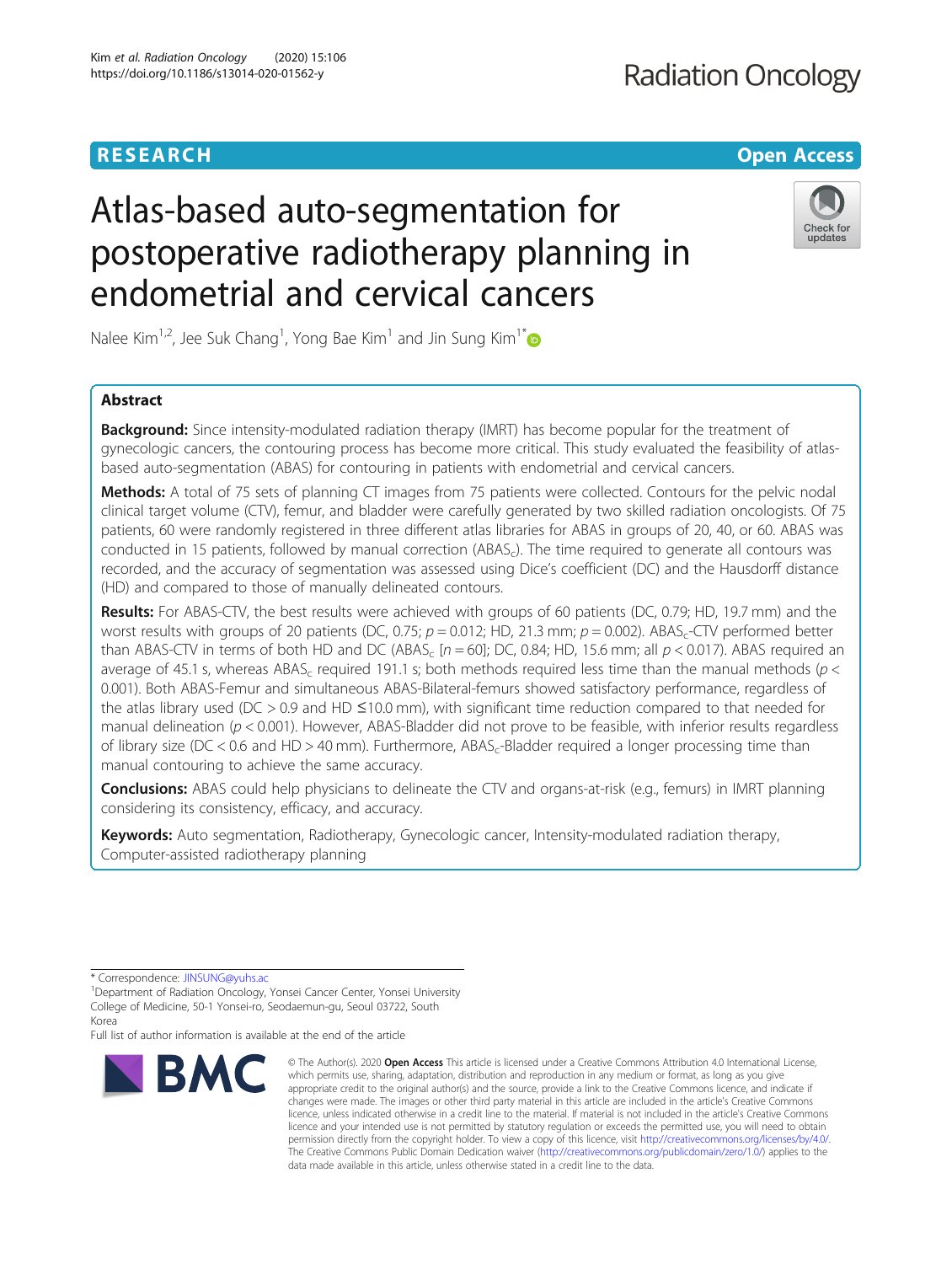## **RESEARCH CHINESE ARCHITECT CONTRACTS**

# Atlas-based auto-segmentation for postoperative radiotherapy planning in endometrial and cervical cancers



Nalee Kim<sup>1,2</sup>, Jee Suk Chang<sup>1</sup>, Yong Bae Kim<sup>1</sup> and Jin Sung Kim<sup>1\*</sup>

### Abstract

**Background:** Since intensity-modulated radiation therapy (IMRT) has become popular for the treatment of gynecologic cancers, the contouring process has become more critical. This study evaluated the feasibility of atlasbased auto-segmentation (ABAS) for contouring in patients with endometrial and cervical cancers.

**Methods:** A total of 75 sets of planning CT images from 75 patients were collected. Contours for the pelvic nodal clinical target volume (CTV), femur, and bladder were carefully generated by two skilled radiation oncologists. Of 75 patients, 60 were randomly registered in three different atlas libraries for ABAS in groups of 20, 40, or 60. ABAS was conducted in 15 patients, followed by manual correction  $(ABAS<sub>c</sub>)$ . The time required to generate all contours was recorded, and the accuracy of segmentation was assessed using Dice's coefficient (DC) and the Hausdorff distance (HD) and compared to those of manually delineated contours.

Results: For ABAS-CTV, the best results were achieved with groups of 60 patients (DC, 0.79; HD, 19.7 mm) and the worst results with groups of 20 patients (DC, 0.75;  $p = 0.012$ ; HD, 21.3 mm;  $p = 0.002$ ). ABAS<sub>c</sub>-CTV performed better than ABAS-CTV in terms of both HD and DC (ABAS<sub>c</sub> [n = 60]; DC, 0.84; HD, 15.6 mm; all  $p < 0.017$ ). ABAS required an average of 45.1 s, whereas ABAS<sub>c</sub> required 191.1 s; both methods required less time than the manual methods ( $p <$ 0.001). Both ABAS-Femur and simultaneous ABAS-Bilateral-femurs showed satisfactory performance, regardless of the atlas library used (DC > 0.9 and HD ≤10.0 mm), with significant time reduction compared to that needed for manual delineation ( $p < 0.001$ ). However, ABAS-Bladder did not prove to be feasible, with inferior results regardless of library size (DC < 0.6 and HD > 40 mm). Furthermore, ABAS<sub>c</sub>-Bladder required a longer processing time than manual contouring to achieve the same accuracy.

Conclusions: ABAS could help physicians to delineate the CTV and organs-at-risk (e.g., femurs) in IMRT planning considering its consistency, efficacy, and accuracy.

Keywords: Auto segmentation, Radiotherapy, Gynecologic cancer, Intensity-modulated radiation therapy, Computer-assisted radiotherapy planning

Full list of author information is available at the end of the article



<sup>©</sup> The Author(s), 2020 **Open Access** This article is licensed under a Creative Commons Attribution 4.0 International License, which permits use, sharing, adaptation, distribution and reproduction in any medium or format, as long as you give appropriate credit to the original author(s) and the source, provide a link to the Creative Commons licence, and indicate if changes were made. The images or other third party material in this article are included in the article's Creative Commons licence, unless indicated otherwise in a credit line to the material. If material is not included in the article's Creative Commons licence and your intended use is not permitted by statutory regulation or exceeds the permitted use, you will need to obtain permission directly from the copyright holder. To view a copy of this licence, visit [http://creativecommons.org/licenses/by/4.0/.](http://creativecommons.org/licenses/by/4.0/) The Creative Commons Public Domain Dedication waiver [\(http://creativecommons.org/publicdomain/zero/1.0/](http://creativecommons.org/publicdomain/zero/1.0/)) applies to the data made available in this article, unless otherwise stated in a credit line to the data.

<sup>\*</sup> Correspondence: [JINSUNG@yuhs.ac](mailto:JINSUNG@yuhs.ac) <sup>1</sup>

<sup>&</sup>lt;sup>1</sup>Department of Radiation Oncology, Yonsei Cancer Center, Yonsei University College of Medicine, 50-1 Yonsei-ro, Seodaemun-gu, Seoul 03722, South Korea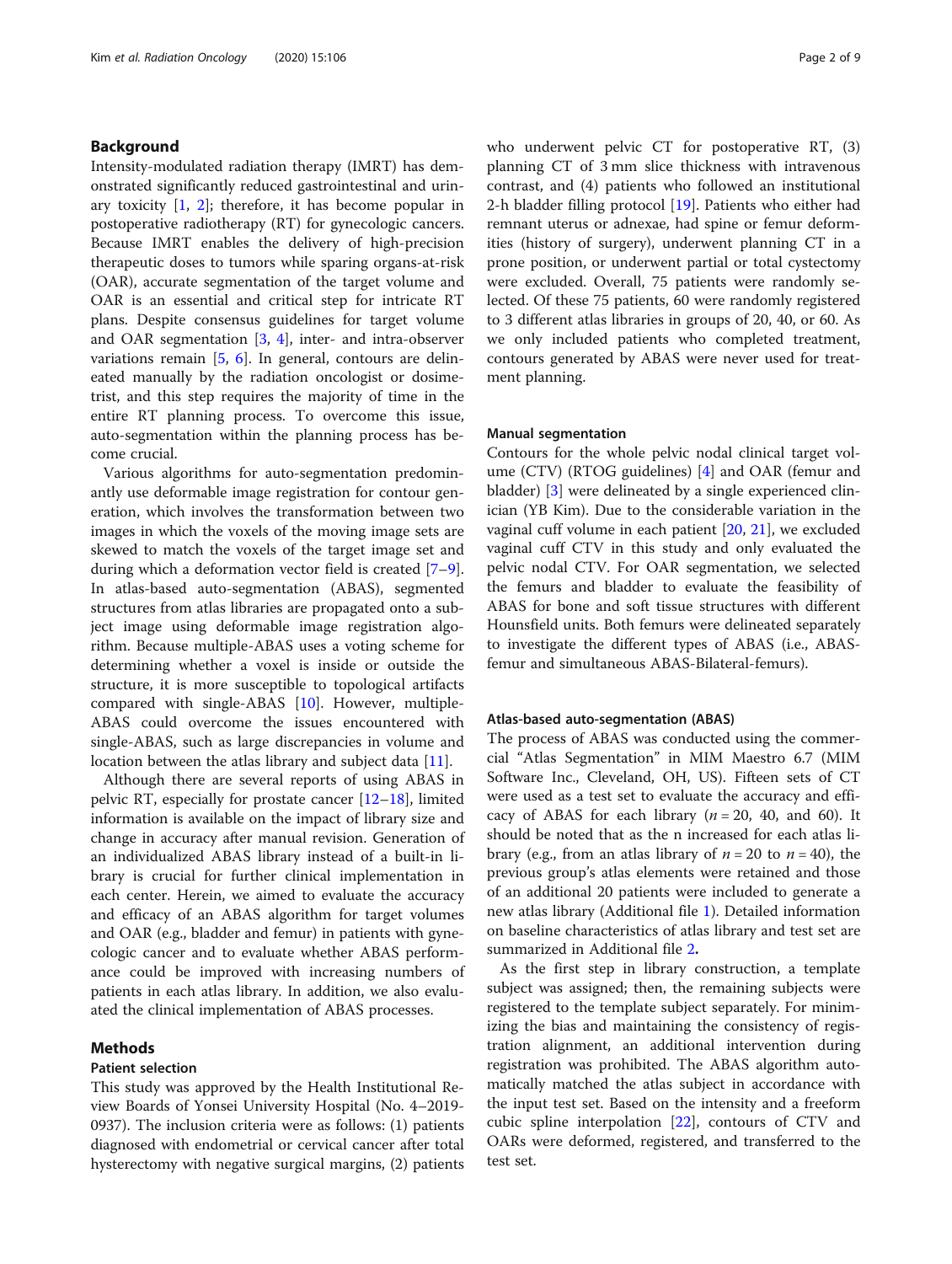#### Background

Intensity-modulated radiation therapy (IMRT) has demonstrated significantly reduced gastrointestinal and urinary toxicity  $[1, 2]$  $[1, 2]$  $[1, 2]$  $[1, 2]$  $[1, 2]$ ; therefore, it has become popular in postoperative radiotherapy (RT) for gynecologic cancers. Because IMRT enables the delivery of high-precision therapeutic doses to tumors while sparing organs-at-risk (OAR), accurate segmentation of the target volume and OAR is an essential and critical step for intricate RT plans. Despite consensus guidelines for target volume and OAR segmentation [\[3](#page-7-0), [4](#page-7-0)], inter- and intra-observer variations remain  $[5, 6]$  $[5, 6]$  $[5, 6]$  $[5, 6]$ . In general, contours are delineated manually by the radiation oncologist or dosimetrist, and this step requires the majority of time in the entire RT planning process. To overcome this issue, auto-segmentation within the planning process has become crucial.

Various algorithms for auto-segmentation predominantly use deformable image registration for contour generation, which involves the transformation between two images in which the voxels of the moving image sets are skewed to match the voxels of the target image set and during which a deformation vector field is created [\[7](#page-7-0)–[9](#page-7-0)]. In atlas-based auto-segmentation (ABAS), segmented structures from atlas libraries are propagated onto a subject image using deformable image registration algorithm. Because multiple-ABAS uses a voting scheme for determining whether a voxel is inside or outside the structure, it is more susceptible to topological artifacts compared with single-ABAS [[10](#page-7-0)]. However, multiple-ABAS could overcome the issues encountered with single-ABAS, such as large discrepancies in volume and location between the atlas library and subject data [\[11](#page-7-0)].

Although there are several reports of using ABAS in pelvic RT, especially for prostate cancer [[12](#page-7-0)–[18](#page-7-0)], limited information is available on the impact of library size and change in accuracy after manual revision. Generation of an individualized ABAS library instead of a built-in library is crucial for further clinical implementation in each center. Herein, we aimed to evaluate the accuracy and efficacy of an ABAS algorithm for target volumes and OAR (e.g., bladder and femur) in patients with gynecologic cancer and to evaluate whether ABAS performance could be improved with increasing numbers of patients in each atlas library. In addition, we also evaluated the clinical implementation of ABAS processes.

#### Methods

#### Patient selection

This study was approved by the Health Institutional Review Boards of Yonsei University Hospital (No. 4–2019- 0937). The inclusion criteria were as follows: (1) patients diagnosed with endometrial or cervical cancer after total hysterectomy with negative surgical margins, (2) patients who underwent pelvic CT for postoperative RT, (3) planning CT of 3 mm slice thickness with intravenous contrast, and (4) patients who followed an institutional 2-h bladder filling protocol [[19](#page-7-0)]. Patients who either had remnant uterus or adnexae, had spine or femur deformities (history of surgery), underwent planning CT in a prone position, or underwent partial or total cystectomy were excluded. Overall, 75 patients were randomly selected. Of these 75 patients, 60 were randomly registered to 3 different atlas libraries in groups of 20, 40, or 60. As we only included patients who completed treatment, contours generated by ABAS were never used for treatment planning.

#### Manual segmentation

Contours for the whole pelvic nodal clinical target volume (CTV) (RTOG guidelines) [\[4](#page-7-0)] and OAR (femur and bladder) [[3](#page-7-0)] were delineated by a single experienced clinician (YB Kim). Due to the considerable variation in the vaginal cuff volume in each patient [[20,](#page-7-0) [21\]](#page-7-0), we excluded vaginal cuff CTV in this study and only evaluated the pelvic nodal CTV. For OAR segmentation, we selected the femurs and bladder to evaluate the feasibility of ABAS for bone and soft tissue structures with different Hounsfield units. Both femurs were delineated separately to investigate the different types of ABAS (i.e., ABASfemur and simultaneous ABAS-Bilateral-femurs).

#### Atlas-based auto-segmentation (ABAS)

The process of ABAS was conducted using the commercial "Atlas Segmentation" in MIM Maestro 6.7 (MIM Software Inc., Cleveland, OH, US). Fifteen sets of CT were used as a test set to evaluate the accuracy and efficacy of ABAS for each library ( $n = 20$ , 40, and 60). It should be noted that as the n increased for each atlas library (e.g., from an atlas library of  $n = 20$  to  $n = 40$ ), the previous group's atlas elements were retained and those of an additional 20 patients were included to generate a new atlas library (Additional file [1\)](#page-7-0). Detailed information on baseline characteristics of atlas library and test set are summarized in Additional file [2](#page-7-0).

As the first step in library construction, a template subject was assigned; then, the remaining subjects were registered to the template subject separately. For minimizing the bias and maintaining the consistency of registration alignment, an additional intervention during registration was prohibited. The ABAS algorithm automatically matched the atlas subject in accordance with the input test set. Based on the intensity and a freeform cubic spline interpolation [[22\]](#page-8-0), contours of CTV and OARs were deformed, registered, and transferred to the test set.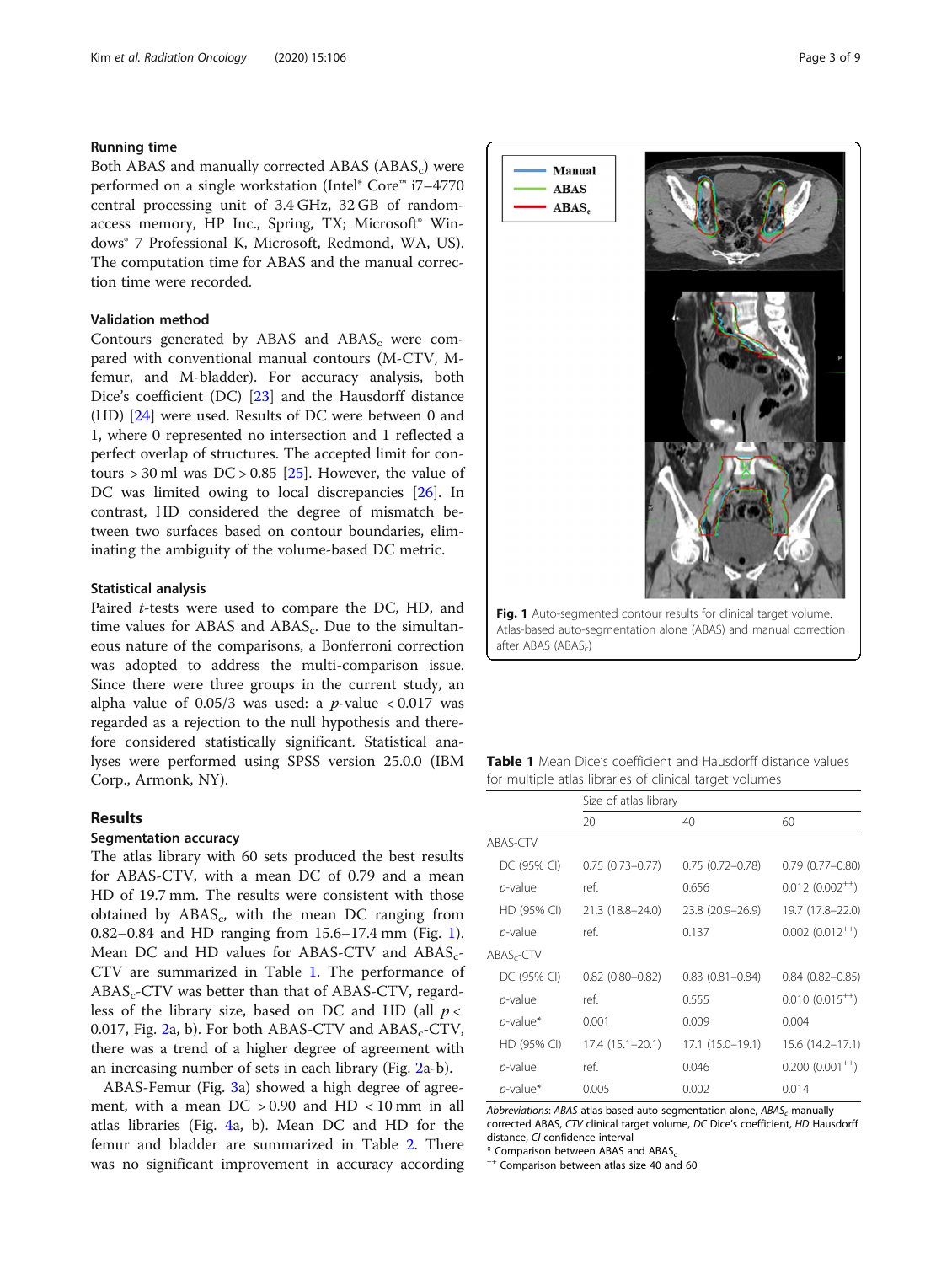#### Running time

Both ABAS and manually corrected ABAS  $(ABAS<sub>c</sub>)$  were performed on a single workstation (Intel® Core™ i7–4770 central processing unit of 3.4 GHz, 32 GB of randomaccess memory, HP Inc., Spring, TX; Microsoft<sup>®</sup> Windows® 7 Professional K, Microsoft, Redmond, WA, US). The computation time for ABAS and the manual correction time were recorded.

#### Validation method

Contours generated by ABAS and  $ABAS<sub>c</sub>$  were compared with conventional manual contours (M-CTV, Mfemur, and M-bladder). For accuracy analysis, both Dice's coefficient (DC) [[23\]](#page-8-0) and the Hausdorff distance (HD) [\[24\]](#page-8-0) were used. Results of DC were between 0 and 1, where 0 represented no intersection and 1 reflected a perfect overlap of structures. The accepted limit for contours  $>$  30 ml was DC  $>$  0.85 [\[25\]](#page-8-0). However, the value of DC was limited owing to local discrepancies [\[26](#page-8-0)]. In contrast, HD considered the degree of mismatch between two surfaces based on contour boundaries, eliminating the ambiguity of the volume-based DC metric.

#### Statistical analysis

Paired t-tests were used to compare the DC, HD, and time values for ABAS and  $ABAS<sub>c</sub>$ . Due to the simultaneous nature of the comparisons, a Bonferroni correction was adopted to address the multi-comparison issue. Since there were three groups in the current study, an alpha value of 0.05/3 was used: a  $p$ -value < 0.017 was regarded as a rejection to the null hypothesis and therefore considered statistically significant. Statistical analyses were performed using SPSS version 25.0.0 (IBM Corp., Armonk, NY).

#### Results

#### Segmentation accuracy

The atlas library with 60 sets produced the best results for ABAS-CTV, with a mean DC of 0.79 and a mean HD of 19.7 mm. The results were consistent with those obtained by  $ABAS_c$ , with the mean DC ranging from 0.82–0.84 and HD ranging from 15.6–17.4 mm (Fig. 1). Mean DC and HD values for ABAS-CTV and  $ABAS_{c}$ -CTV are summarized in Table 1. The performance of  $ABAS<sub>c</sub>-CTV$  was better than that of ABAS-CTV, regardless of the library size, based on DC and HD (all  $p <$ 0.017, Fig. [2](#page-3-0)a, b). For both ABAS-CTV and  $\text{ABAS}_{\text{c}}$ -CTV, there was a trend of a higher degree of agreement with an increasing number of sets in each library (Fig. [2a](#page-3-0)-b).

ABAS-Femur (Fig. [3](#page-3-0)a) showed a high degree of agreement, with a mean  $DC > 0.90$  and  $HD < 10$  mm in all atlas libraries (Fig. [4a](#page-4-0), b). Mean DC and HD for the femur and bladder are summarized in Table [2](#page-4-0). There was no significant improvement in accuracy according



Atlas-based auto-segmentation alone (ABAS) and manual correction after ABAS (ABASc)

**Table 1** Mean Dice's coefficient and Hausdorff distance values for multiple atlas libraries of clinical target volumes

|                        | Size of atlas library  |                        |                        |
|------------------------|------------------------|------------------------|------------------------|
|                        | 20                     | 40                     | 60                     |
| ABAS-CTV               |                        |                        |                        |
| DC (95% CI)            | $0.75(0.73 - 0.77)$    | $0.75(0.72 - 0.78)$    | $0.79(0.77 - 0.80)$    |
| <i>p</i> -value        | ref.                   | 0.656                  | $0.012(0.002^{++})$    |
| HD (95% CI)            | 21.3 (18.8–24.0)       | 23.8 (20.9-26.9)       | 19.7 (17.8–22.0)       |
| <i>p</i> -value        | ref.                   | 0.137                  | $0.002$ $(0.012^{++})$ |
| ABAS <sub>c</sub> -CTV |                        |                        |                        |
| DC (95% CI)            | $0.82$ $(0.80 - 0.82)$ | $0.83$ $(0.81 - 0.84)$ | $0.84(0.82 - 0.85)$    |
| <i>p</i> -value        | ref.                   | 0.555                  | $0.010(0.015^{++})$    |
| $p$ -value*            | 0.001                  | 0.009                  | 0.004                  |
| HD (95% CI)            | 17.4 (15.1–20.1)       | 17.1 (15.0-19.1)       | 15.6 (14.2–17.1)       |
| <i>p</i> -value        | ref.                   | 0.046                  | $0.200(0.001^{++})$    |
| <i>p</i> -value*       | 0.005                  | 0.002                  | 0.014                  |

Abbreviations: ABAS atlas-based auto-segmentation alone,  $ABAS_c$  manually corrected ABAS, CTV clinical target volume, DC Dice's coefficient, HD Hausdorff distance, CI confidence interval<br>\* Comparison between ABAS and ABAS.

 $^{++}$  Comparison between atlas size 40 and 60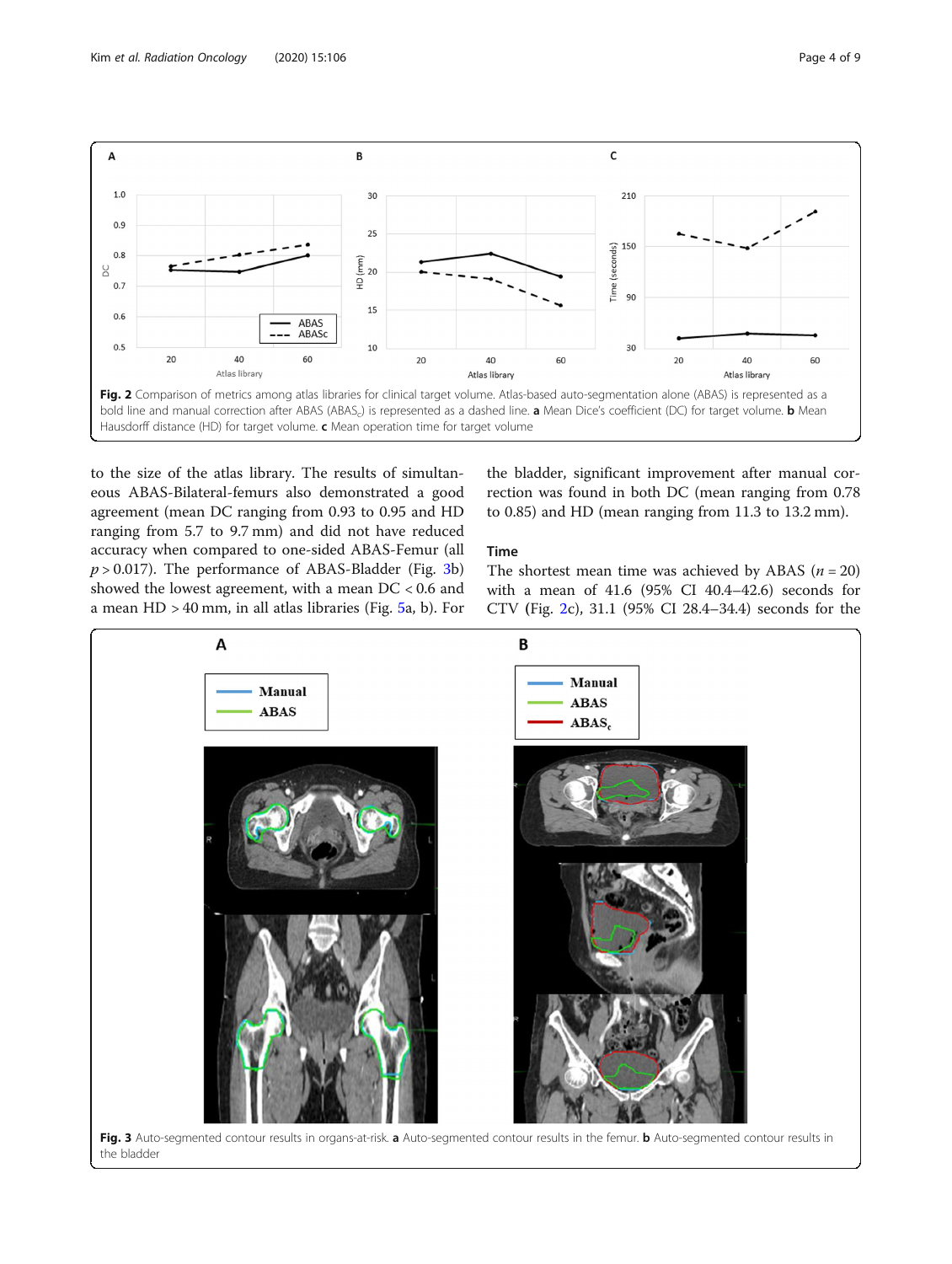

<span id="page-3-0"></span>

to the size of the atlas library. The results of simultaneous ABAS-Bilateral-femurs also demonstrated a good agreement (mean DC ranging from 0.93 to 0.95 and HD ranging from 5.7 to 9.7 mm) and did not have reduced accuracy when compared to one-sided ABAS-Femur (all  $p > 0.017$ ). The performance of ABAS-Bladder (Fig. 3b) showed the lowest agreement, with a mean DC < 0.6 and a mean HD > 40 mm, in all atlas libraries (Fig. [5a](#page-5-0), b). For the bladder, significant improvement after manual correction was found in both DC (mean ranging from 0.78 to 0.85) and HD (mean ranging from 11.3 to 13.2 mm).

#### Time

The shortest mean time was achieved by ABAS ( $n = 20$ ) with a mean of 41.6 (95% CI 40.4–42.6) seconds for CTV (Fig. 2c), 31.1 (95% CI 28.4–34.4) seconds for the

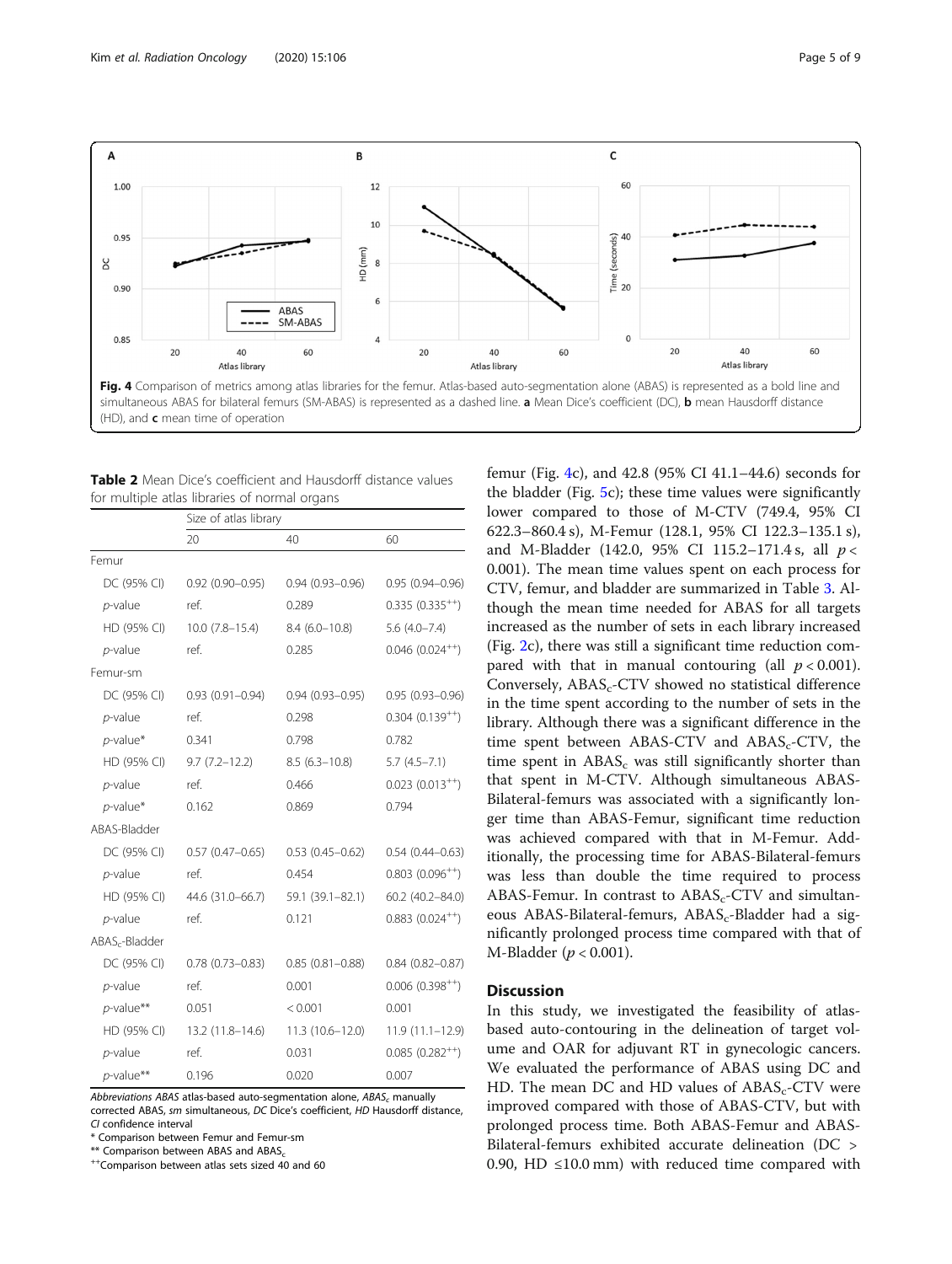<span id="page-4-0"></span>

Table 2 Mean Dice's coefficient and Hausdorff distance values for multiple atlas libraries of normal organs

|                            | Size of atlas library |                     |                        |  |
|----------------------------|-----------------------|---------------------|------------------------|--|
|                            | 20                    | 40                  | 60                     |  |
| Femur                      |                       |                     |                        |  |
| DC (95% CI)                | $0.92(0.90 - 0.95)$   | $0.94(0.93 - 0.96)$ | $0.95(0.94 - 0.96)$    |  |
| $p$ -value                 | ref.                  | 0.289               | $0.335(0.335^{++})$    |  |
| HD (95% CI)                | $10.0(7.8-15.4)$      | $8.4(6.0-10.8)$     | $5.6(4.0 - 7.4)$       |  |
| $p$ -value                 | ref.                  | 0.285               | $0.046(0.024^{++})$    |  |
| Femur-sm                   |                       |                     |                        |  |
| DC (95% CI)                | $0.93(0.91 - 0.94)$   | $0.94(0.93 - 0.95)$ | $0.95(0.93 - 0.96)$    |  |
| $p$ -value                 | ref.                  | 0.298               | $0.304(0.139^{++})$    |  |
| $p$ -value*                | 0.341                 | 0.798               | 0.782                  |  |
| HD (95% CI)                | $9.7(7.2 - 12.2)$     | $8.5(6.3 - 10.8)$   | $5.7(4.5 - 7.1)$       |  |
| $p$ -value                 | ref.                  | 0.466               | $0.023$ $(0.013^{++})$ |  |
| $p$ -value*                | 0.162                 | 0.869               | 0.794                  |  |
| ABAS-Bladder               |                       |                     |                        |  |
| DC (95% CI)                | $0.57(0.47 - 0.65)$   | $0.53(0.45 - 0.62)$ | $0.54(0.44 - 0.63)$    |  |
| $p$ -value                 | ref.                  | 0.454               | $0.803(0.096^{++})$    |  |
| HD (95% CI)                | 44.6 (31.0-66.7)      | 59.1 (39.1-82.1)    | 60.2 (40.2-84.0)       |  |
| $p$ -value                 | ref.                  | 0.121               | $0.883(0.024^{++})$    |  |
| ABAS <sub>c</sub> -Bladder |                       |                     |                        |  |
| DC (95% CI)                | $0.78(0.73 - 0.83)$   | $0.85(0.81 - 0.88)$ | $0.84$ (0.82-0.87)     |  |
| p-value                    | ref.                  | 0.001               | $0.006$ $(0.398^{++})$ |  |
| p-value**                  | 0.051                 | < 0.001             | 0.001                  |  |
| HD (95% CI)                | 13.2 (11.8-14.6)      | $11.3(10.6 - 12.0)$ | $11.9(11.1-12.9)$      |  |
| $p$ -value                 | ref.                  | 0.031               | $0.085(0.282^{++})$    |  |
| p-value**                  | 0.196                 | 0.020               | 0.007                  |  |

Abbreviations ABAS atlas-based auto-segmentation alone. ABAS, manually corrected ABAS, sm simultaneous, DC Dice's coefficient, HD Hausdorff distance, CI confidence interval

\* Comparison between Femur and Femur-sm

<sup>++</sup>Comparison between atlas sets sized 40 and 60

femur (Fig. 4c), and 42.8 (95% CI 41.1–44.6) seconds for the bladder (Fig. [5](#page-5-0)c); these time values were significantly lower compared to those of M-CTV (749.4, 95% CI 622.3–860.4 s), M-Femur (128.1, 95% CI 122.3–135.1 s), and M-Bladder (142.0, 95% CI 115.2-171.4 s, all  $p <$ 0.001). The mean time values spent on each process for CTV, femur, and bladder are summarized in Table [3](#page-5-0). Although the mean time needed for ABAS for all targets increased as the number of sets in each library increased (Fig. [2](#page-3-0)c), there was still a significant time reduction compared with that in manual contouring (all  $p < 0.001$ ). Conversely,  $ABAS_c$ -CTV showed no statistical difference in the time spent according to the number of sets in the library. Although there was a significant difference in the time spent between ABAS-CTV and  $ABAS<sub>c</sub>-CTV$ , the time spent in  $ABAS<sub>c</sub>$  was still significantly shorter than that spent in M-CTV. Although simultaneous ABAS-Bilateral-femurs was associated with a significantly longer time than ABAS-Femur, significant time reduction was achieved compared with that in M-Femur. Additionally, the processing time for ABAS-Bilateral-femurs was less than double the time required to process ABAS-Femur. In contrast to  $ABAS<sub>c</sub>$ -CTV and simultaneous ABAS-Bilateral-femurs, ABAS<sub>c</sub>-Bladder had a significantly prolonged process time compared with that of M-Bladder ( $p < 0.001$ ).

#### **Discussion**

In this study, we investigated the feasibility of atlasbased auto-contouring in the delineation of target volume and OAR for adjuvant RT in gynecologic cancers. We evaluated the performance of ABAS using DC and HD. The mean DC and HD values of  $\rm{ABAS}_{c}$ -CTV were improved compared with those of ABAS-CTV, but with prolonged process time. Both ABAS-Femur and ABAS-Bilateral-femurs exhibited accurate delineation (DC > 0.90, HD  $\leq$ 10.0 mm) with reduced time compared with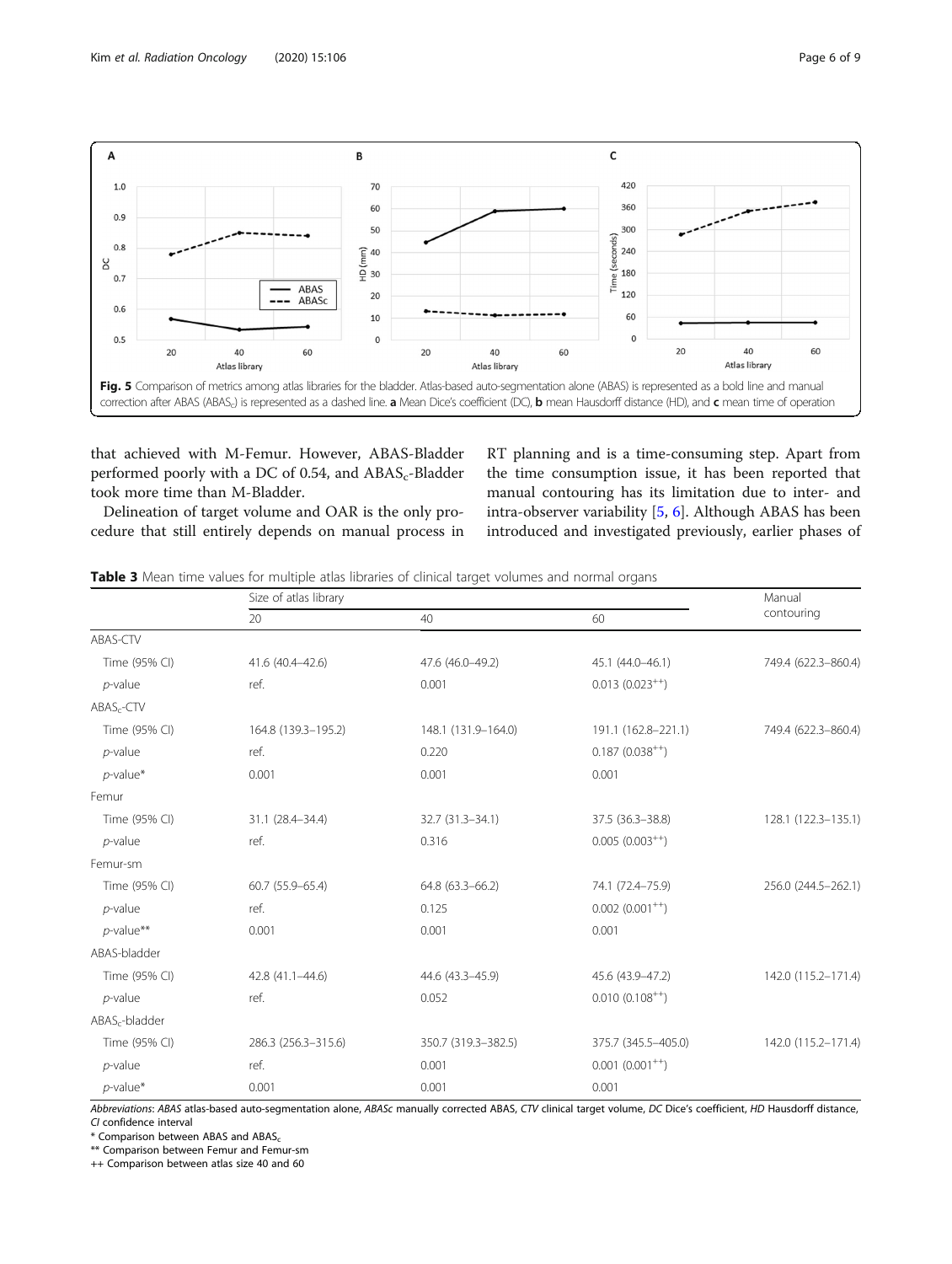<span id="page-5-0"></span>

that achieved with M-Femur. However, ABAS-Bladder performed poorly with a DC of 0.54, and ABAS<sub>c</sub>-Bladder took more time than M-Bladder.

Delineation of target volume and OAR is the only procedure that still entirely depends on manual process in

RT planning and is a time-consuming step. Apart from the time consumption issue, it has been reported that manual contouring has its limitation due to inter- and intra-observer variability [[5,](#page-7-0) [6\]](#page-7-0). Although ABAS has been introduced and investigated previously, earlier phases of

| <b>Table 3</b> Mean time values for multiple atlas libraries of clinical target volumes and normal organs |  |  |
|-----------------------------------------------------------------------------------------------------------|--|--|
|-----------------------------------------------------------------------------------------------------------|--|--|

|                            | Size of atlas library |                     |                        |                     |
|----------------------------|-----------------------|---------------------|------------------------|---------------------|
|                            | 20                    | 40                  | 60                     | contouring          |
| ABAS-CTV                   |                       |                     |                        |                     |
| Time (95% CI)              | 41.6 (40.4-42.6)      | 47.6 (46.0-49.2)    | 45.1 (44.0-46.1)       | 749.4 (622.3-860.4) |
| $p$ -value                 | ref.                  | 0.001               | $0.013$ $(0.023^{++})$ |                     |
| $ABASc-CTV$                |                       |                     |                        |                     |
| Time (95% CI)              | 164.8 (139.3-195.2)   | 148.1 (131.9-164.0) | 191.1 (162.8-221.1)    | 749.4 (622.3-860.4) |
| $p$ -value                 | ref.                  | 0.220               | $0.187(0.038^{++})$    |                     |
| $p$ -value*                | 0.001                 | 0.001               | 0.001                  |                     |
| Femur                      |                       |                     |                        |                     |
| Time (95% CI)              | 31.1 (28.4-34.4)      | 32.7 (31.3-34.1)    | 37.5 (36.3-38.8)       | 128.1 (122.3-135.1) |
| $p$ -value                 | ref.                  | 0.316               | $0.005(0.003^{++})$    |                     |
| Femur-sm                   |                       |                     |                        |                     |
| Time (95% CI)              | 60.7 (55.9-65.4)      | 64.8 (63.3-66.2)    | 74.1 (72.4-75.9)       | 256.0 (244.5-262.1) |
| $p$ -value                 | ref.                  | 0.125               | $0.002$ $(0.001^{++})$ |                     |
| $p$ -value**               | 0.001                 | 0.001               | 0.001                  |                     |
| ABAS-bladder               |                       |                     |                        |                     |
| Time (95% CI)              | 42.8 (41.1-44.6)      | 44.6 (43.3-45.9)    | 45.6 (43.9-47.2)       | 142.0 (115.2-171.4) |
| $p$ -value                 | ref.                  | 0.052               | $0.010(0.108^{++})$    |                     |
| ABAS <sub>c</sub> -bladder |                       |                     |                        |                     |
| Time (95% CI)              | 286.3 (256.3-315.6)   | 350.7 (319.3-382.5) | 375.7 (345.5-405.0)    | 142.0 (115.2-171.4) |
| $p$ -value                 | ref.                  | 0.001               | $0.001$ $(0.001^{++})$ |                     |
| $p$ -value*                | 0.001                 | 0.001               | 0.001                  |                     |

Abbreviations: ABAS atlas-based auto-segmentation alone, ABASc manually corrected ABAS, CTV clinical target volume, DC Dice's coefficient, HD Hausdorff distance, CI confidence interval

\* Comparison between ABAS and ABAS<sub>c</sub>

\*\* Comparison between Femur and Femur-sm

++ Comparison between atlas size 40 and 60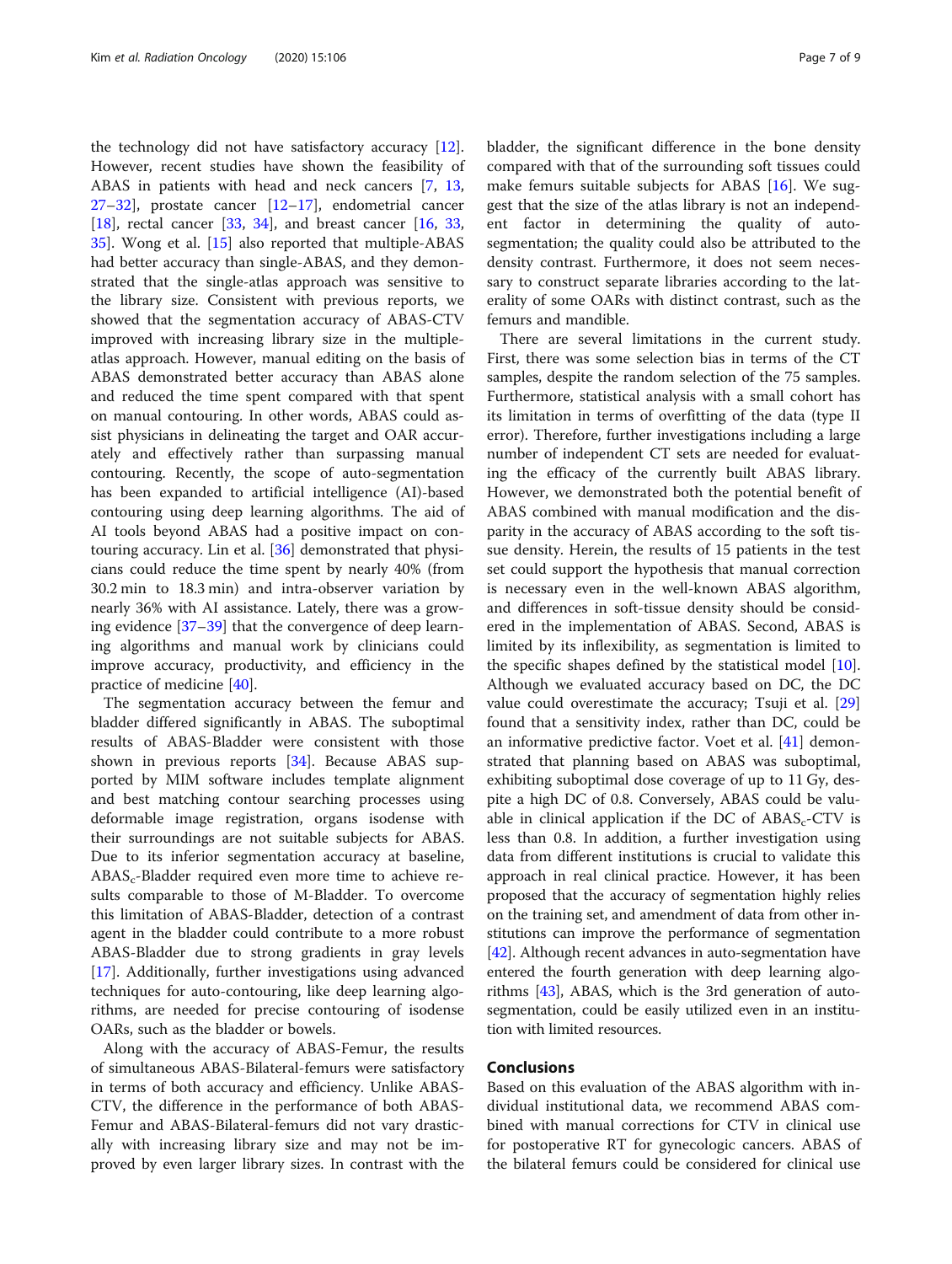the technology did not have satisfactory accuracy [\[12](#page-7-0)]. However, recent studies have shown the feasibility of ABAS in patients with head and neck cancers [[7](#page-7-0), [13](#page-7-0), [27](#page-8-0)–[32](#page-8-0)], prostate cancer [\[12](#page-7-0)–[17](#page-7-0)], endometrial cancer [[18\]](#page-7-0), rectal cancer [[33](#page-8-0), [34](#page-8-0)], and breast cancer [[16,](#page-7-0) 33, [35\]](#page-8-0). Wong et al. [[15](#page-7-0)] also reported that multiple-ABAS had better accuracy than single-ABAS, and they demonstrated that the single-atlas approach was sensitive to the library size. Consistent with previous reports, we showed that the segmentation accuracy of ABAS-CTV improved with increasing library size in the multipleatlas approach. However, manual editing on the basis of ABAS demonstrated better accuracy than ABAS alone and reduced the time spent compared with that spent on manual contouring. In other words, ABAS could assist physicians in delineating the target and OAR accurately and effectively rather than surpassing manual contouring. Recently, the scope of auto-segmentation has been expanded to artificial intelligence (AI)-based contouring using deep learning algorithms. The aid of AI tools beyond ABAS had a positive impact on contouring accuracy. Lin et al. [[36\]](#page-8-0) demonstrated that physicians could reduce the time spent by nearly 40% (from 30.2 min to 18.3 min) and intra-observer variation by nearly 36% with AI assistance. Lately, there was a growing evidence [[37](#page-8-0)–[39](#page-8-0)] that the convergence of deep learning algorithms and manual work by clinicians could improve accuracy, productivity, and efficiency in the practice of medicine [[40\]](#page-8-0).

The segmentation accuracy between the femur and bladder differed significantly in ABAS. The suboptimal results of ABAS-Bladder were consistent with those shown in previous reports [\[34\]](#page-8-0). Because ABAS supported by MIM software includes template alignment and best matching contour searching processes using deformable image registration, organs isodense with their surroundings are not suitable subjects for ABAS. Due to its inferior segmentation accuracy at baseline,  $ABAS<sub>c</sub>$ -Bladder required even more time to achieve results comparable to those of M-Bladder. To overcome this limitation of ABAS-Bladder, detection of a contrast agent in the bladder could contribute to a more robust ABAS-Bladder due to strong gradients in gray levels [[17\]](#page-7-0). Additionally, further investigations using advanced techniques for auto-contouring, like deep learning algorithms, are needed for precise contouring of isodense OARs, such as the bladder or bowels.

Along with the accuracy of ABAS-Femur, the results of simultaneous ABAS-Bilateral-femurs were satisfactory in terms of both accuracy and efficiency. Unlike ABAS-CTV, the difference in the performance of both ABAS-Femur and ABAS-Bilateral-femurs did not vary drastically with increasing library size and may not be improved by even larger library sizes. In contrast with the bladder, the significant difference in the bone density compared with that of the surrounding soft tissues could make femurs suitable subjects for ABAS [\[16](#page-7-0)]. We suggest that the size of the atlas library is not an independent factor in determining the quality of autosegmentation; the quality could also be attributed to the density contrast. Furthermore, it does not seem necessary to construct separate libraries according to the laterality of some OARs with distinct contrast, such as the femurs and mandible.

There are several limitations in the current study. First, there was some selection bias in terms of the CT samples, despite the random selection of the 75 samples. Furthermore, statistical analysis with a small cohort has its limitation in terms of overfitting of the data (type II error). Therefore, further investigations including a large number of independent CT sets are needed for evaluating the efficacy of the currently built ABAS library. However, we demonstrated both the potential benefit of ABAS combined with manual modification and the disparity in the accuracy of ABAS according to the soft tissue density. Herein, the results of 15 patients in the test set could support the hypothesis that manual correction is necessary even in the well-known ABAS algorithm, and differences in soft-tissue density should be considered in the implementation of ABAS. Second, ABAS is limited by its inflexibility, as segmentation is limited to the specific shapes defined by the statistical model [\[10](#page-7-0)]. Although we evaluated accuracy based on DC, the DC value could overestimate the accuracy; Tsuji et al. [[29](#page-8-0)] found that a sensitivity index, rather than DC, could be an informative predictive factor. Voet et al. [\[41](#page-8-0)] demonstrated that planning based on ABAS was suboptimal, exhibiting suboptimal dose coverage of up to 11 Gy, despite a high DC of 0.8. Conversely, ABAS could be valuable in clinical application if the DC of  $\rm{ABAS_{c}-CTV}$  is less than 0.8. In addition, a further investigation using data from different institutions is crucial to validate this approach in real clinical practice. However, it has been proposed that the accuracy of segmentation highly relies on the training set, and amendment of data from other institutions can improve the performance of segmentation [[42](#page-8-0)]. Although recent advances in auto-segmentation have entered the fourth generation with deep learning algorithms [[43\]](#page-8-0), ABAS, which is the 3rd generation of autosegmentation, could be easily utilized even in an institution with limited resources.

#### Conclusions

Based on this evaluation of the ABAS algorithm with individual institutional data, we recommend ABAS combined with manual corrections for CTV in clinical use for postoperative RT for gynecologic cancers. ABAS of the bilateral femurs could be considered for clinical use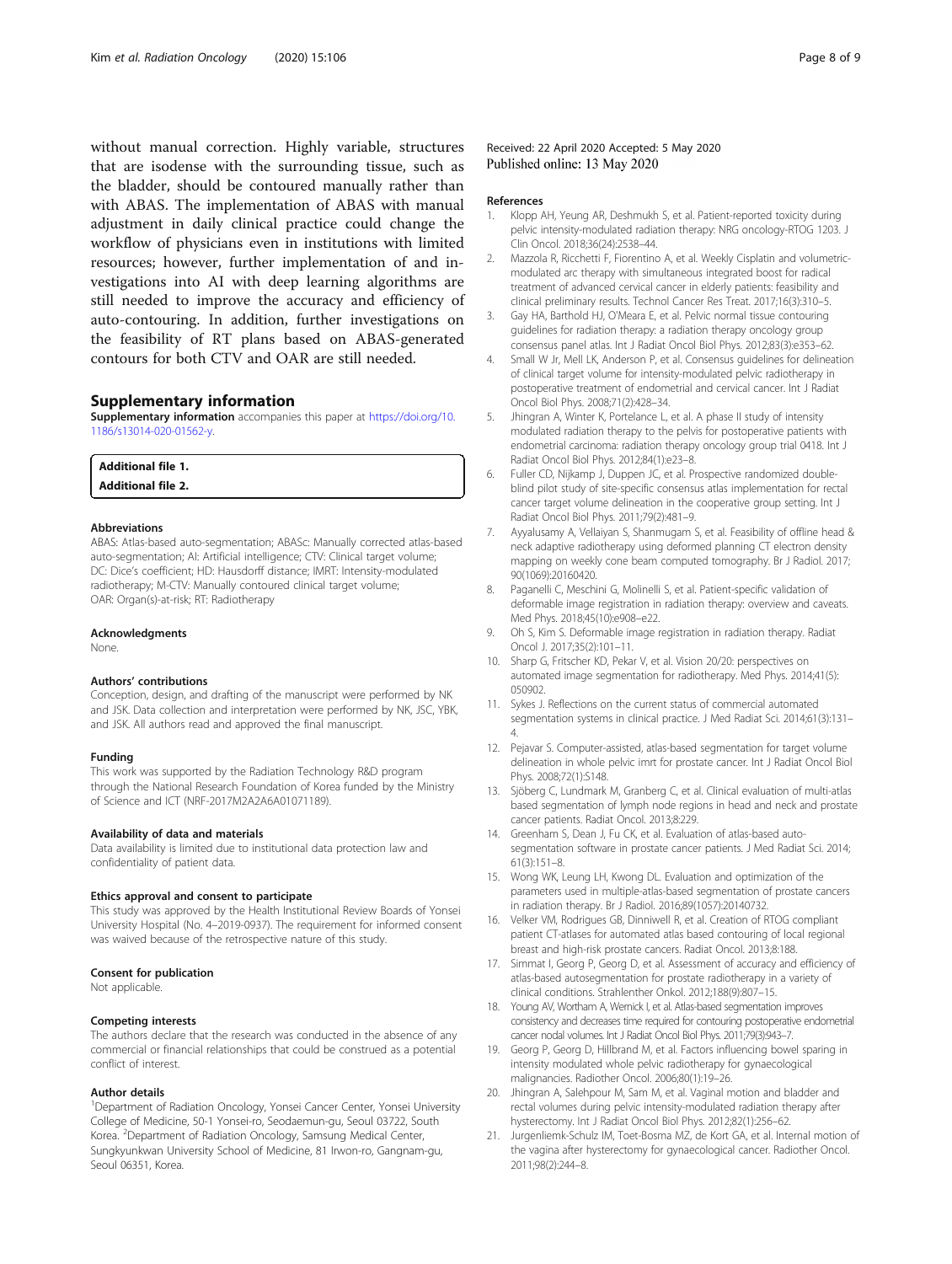<span id="page-7-0"></span>without manual correction. Highly variable, structures that are isodense with the surrounding tissue, such as the bladder, should be contoured manually rather than with ABAS. The implementation of ABAS with manual adjustment in daily clinical practice could change the workflow of physicians even in institutions with limited resources; however, further implementation of and investigations into AI with deep learning algorithms are still needed to improve the accuracy and efficiency of auto-contouring. In addition, further investigations on the feasibility of RT plans based on ABAS-generated contours for both CTV and OAR are still needed.

#### Supplementary information

Supplementary information accompanies this paper at [https://doi.org/10.](https://doi.org/10.1186/s13014-020-01562-y) [1186/s13014-020-01562-y](https://doi.org/10.1186/s13014-020-01562-y).

| <b>Additional file 1.</b> |  |
|---------------------------|--|
| <b>Additional file 2.</b> |  |

#### Abbreviations

ABAS: Atlas-based auto-segmentation; ABASc: Manually corrected atlas-based auto-segmentation; AI: Artificial intelligence; CTV: Clinical target volume; DC: Dice's coefficient; HD: Hausdorff distance; IMRT: Intensity-modulated radiotherapy; M-CTV: Manually contoured clinical target volume; OAR: Organ(s)-at-risk; RT: Radiotherapy

#### Acknowledgments

None.

#### Authors' contributions

Conception, design, and drafting of the manuscript were performed by NK and JSK. Data collection and interpretation were performed by NK, JSC, YBK, and JSK. All authors read and approved the final manuscript.

#### Funding

This work was supported by the Radiation Technology R&D program through the National Research Foundation of Korea funded by the Ministry of Science and ICT (NRF-2017M2A2A6A01071189).

#### Availability of data and materials

Data availability is limited due to institutional data protection law and confidentiality of patient data.

#### Ethics approval and consent to participate

This study was approved by the Health Institutional Review Boards of Yonsei University Hospital (No. 4–2019-0937). The requirement for informed consent was waived because of the retrospective nature of this study.

#### Consent for publication

Not applicable.

#### Competing interests

The authors declare that the research was conducted in the absence of any commercial or financial relationships that could be construed as a potential conflict of interest.

#### Author details

<sup>1</sup>Department of Radiation Oncology, Yonsei Cancer Center, Yonsei University College of Medicine, 50-1 Yonsei-ro, Seodaemun-gu, Seoul 03722, South Korea. <sup>2</sup> Department of Radiation Oncology, Samsung Medical Center, Sungkyunkwan University School of Medicine, 81 Irwon-ro, Gangnam-gu, Seoul 06351, Korea.

Received: 22 April 2020 Accepted: 5 May 2020 Published online: 13 May 2020

#### References

- 1. Klopp AH, Yeung AR, Deshmukh S, et al. Patient-reported toxicity during pelvic intensity-modulated radiation therapy: NRG oncology-RTOG 1203. J Clin Oncol. 2018;36(24):2538–44.
- 2. Mazzola R, Ricchetti F, Fiorentino A, et al. Weekly Cisplatin and volumetricmodulated arc therapy with simultaneous integrated boost for radical treatment of advanced cervical cancer in elderly patients: feasibility and clinical preliminary results. Technol Cancer Res Treat. 2017;16(3):310–5.
- 3. Gay HA, Barthold HJ, O'Meara E, et al. Pelvic normal tissue contouring guidelines for radiation therapy: a radiation therapy oncology group consensus panel atlas. Int J Radiat Oncol Biol Phys. 2012;83(3):e353–62.
- 4. Small W Jr, Mell LK, Anderson P, et al. Consensus guidelines for delineation of clinical target volume for intensity-modulated pelvic radiotherapy in postoperative treatment of endometrial and cervical cancer. Int J Radiat Oncol Biol Phys. 2008;71(2):428–34.
- 5. Jhingran A, Winter K, Portelance L, et al. A phase II study of intensity modulated radiation therapy to the pelvis for postoperative patients with endometrial carcinoma: radiation therapy oncology group trial 0418. Int J Radiat Oncol Biol Phys. 2012;84(1):e23–8.
- 6. Fuller CD, Nijkamp J, Duppen JC, et al. Prospective randomized doubleblind pilot study of site-specific consensus atlas implementation for rectal cancer target volume delineation in the cooperative group setting. Int J Radiat Oncol Biol Phys. 2011;79(2):481–9.
- 7. Ayyalusamy A, Vellaiyan S, Shanmugam S, et al. Feasibility of offline head & neck adaptive radiotherapy using deformed planning CT electron density mapping on weekly cone beam computed tomography. Br J Radiol. 2017; 90(1069):20160420.
- 8. Paganelli C, Meschini G, Molinelli S, et al. Patient-specific validation of deformable image registration in radiation therapy: overview and caveats. Med Phys. 2018;45(10):e908–e22.
- 9. Oh S, Kim S. Deformable image registration in radiation therapy. Radiat Oncol J. 2017;35(2):101–11.
- 10. Sharp G, Fritscher KD, Pekar V, et al. Vision 20/20: perspectives on automated image segmentation for radiotherapy. Med Phys. 2014;41(5): 050902.
- 11. Sykes J. Reflections on the current status of commercial automated segmentation systems in clinical practice. J Med Radiat Sci. 2014;61(3):131– 4.
- 12. Pejavar S. Computer-assisted, atlas-based segmentation for target volume delineation in whole pelvic imrt for prostate cancer. Int J Radiat Oncol Biol Phys. 2008;72(1):S148.
- 13. Sjöberg C, Lundmark M, Granberg C, et al. Clinical evaluation of multi-atlas based segmentation of lymph node regions in head and neck and prostate cancer patients. Radiat Oncol. 2013;8:229.
- 14. Greenham S, Dean J, Fu CK, et al. Evaluation of atlas-based autosegmentation software in prostate cancer patients. J Med Radiat Sci. 2014; 61(3):151–8.
- 15. Wong WK, Leung LH, Kwong DL. Evaluation and optimization of the parameters used in multiple-atlas-based segmentation of prostate cancers in radiation therapy. Br J Radiol. 2016;89(1057):20140732.
- 16. Velker VM, Rodrigues GB, Dinniwell R, et al. Creation of RTOG compliant patient CT-atlases for automated atlas based contouring of local regional breast and high-risk prostate cancers. Radiat Oncol. 2013;8:188.
- 17. Simmat I, Georg P, Georg D, et al. Assessment of accuracy and efficiency of atlas-based autosegmentation for prostate radiotherapy in a variety of clinical conditions. Strahlenther Onkol. 2012;188(9):807–15.
- 18. Young AV, Wortham A, Wernick I, et al. Atlas-based segmentation improves consistency and decreases time required for contouring postoperative endometrial cancer nodal volumes. Int J Radiat Oncol Biol Phys. 2011;79(3):943–7.
- 19. Georg P, Georg D, Hillbrand M, et al. Factors influencing bowel sparing in intensity modulated whole pelvic radiotherapy for gynaecological malignancies. Radiother Oncol. 2006;80(1):19–26.
- 20. Jhingran A, Salehpour M, Sam M, et al. Vaginal motion and bladder and rectal volumes during pelvic intensity-modulated radiation therapy after hysterectomy. Int J Radiat Oncol Biol Phys. 2012;82(1):256–62.
- 21. Jurgenliemk-Schulz IM, Toet-Bosma MZ, de Kort GA, et al. Internal motion of the vagina after hysterectomy for gynaecological cancer. Radiother Oncol. 2011;98(2):244–8.